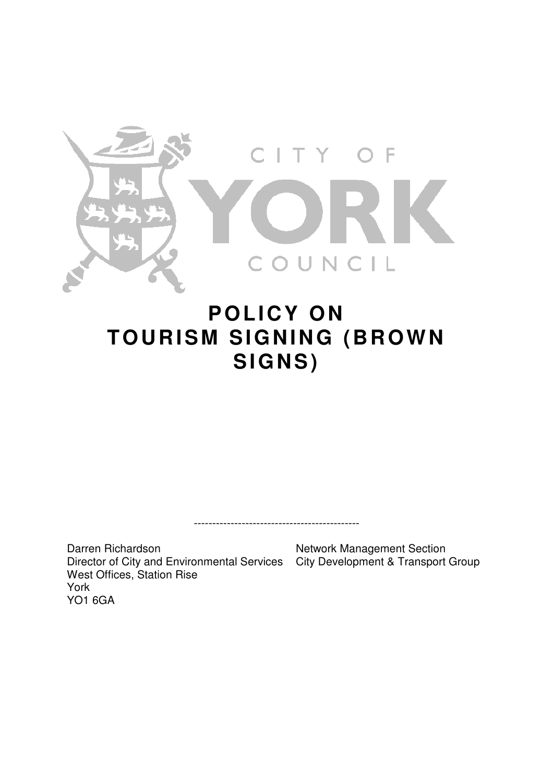

# **POLICY ON TOURISM SIGNING (BROWN SIGNS)**

---------------------------------------------

Darren Richardson Director of City and Environmental Services City Development & Transport Group West Offices, Station Rise York YO1 6GA

Network Management Section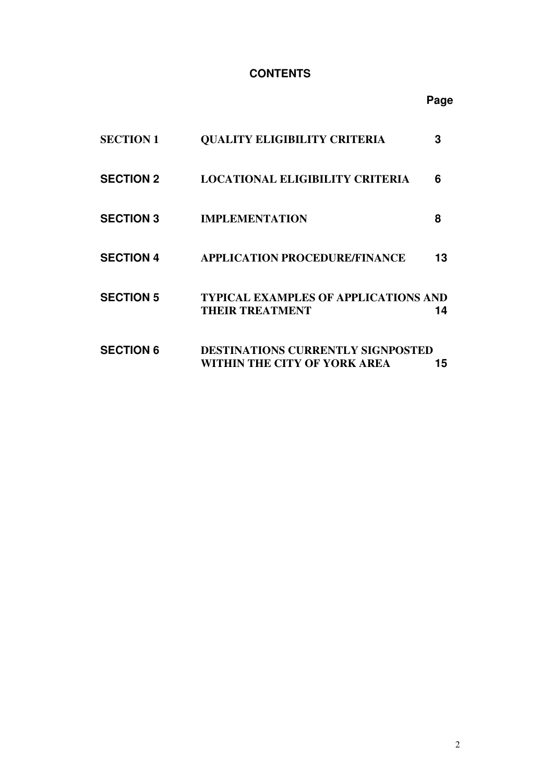# **CONTENTS**

# **Page**

| <b>SECTION 1</b> | <b>QUALITY ELIGIBILITY CRITERIA</b>                                      | З  |
|------------------|--------------------------------------------------------------------------|----|
| <b>SECTION 2</b> | <b>LOCATIONAL ELIGIBILITY CRITERIA</b>                                   | 6  |
| <b>SECTION 3</b> | <b>IMPLEMENTATION</b>                                                    | 8  |
| <b>SECTION 4</b> | <b>APPLICATION PROCEDURE/FINANCE</b>                                     | 13 |
| <b>SECTION 5</b> | <b>TYPICAL EXAMPLES OF APPLICATIONS AND</b><br><b>THEIR TREATMENT</b>    | 14 |
| <b>SECTION 6</b> | <b>DESTINATIONS CURRENTLY SIGNPOSTED</b><br>WITHIN THE CITY OF YORK AREA | 15 |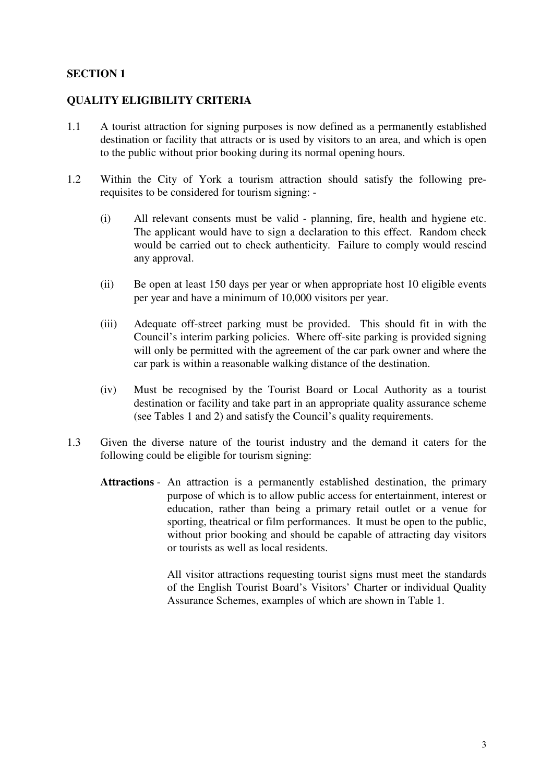#### **QUALITY ELIGIBILITY CRITERIA**

- 1.1 A tourist attraction for signing purposes is now defined as a permanently established destination or facility that attracts or is used by visitors to an area, and which is open to the public without prior booking during its normal opening hours.
- 1.2 Within the City of York a tourism attraction should satisfy the following prerequisites to be considered for tourism signing: -
	- (i) All relevant consents must be valid planning, fire, health and hygiene etc. The applicant would have to sign a declaration to this effect. Random check would be carried out to check authenticity. Failure to comply would rescind any approval.
	- (ii) Be open at least 150 days per year or when appropriate host 10 eligible events per year and have a minimum of 10,000 visitors per year.
	- (iii) Adequate off-street parking must be provided. This should fit in with the Council's interim parking policies. Where off-site parking is provided signing will only be permitted with the agreement of the car park owner and where the car park is within a reasonable walking distance of the destination.
	- (iv) Must be recognised by the Tourist Board or Local Authority as a tourist destination or facility and take part in an appropriate quality assurance scheme (see Tables 1 and 2) and satisfy the Council's quality requirements.
- 1.3 Given the diverse nature of the tourist industry and the demand it caters for the following could be eligible for tourism signing:
	- **Attractions**  An attraction is a permanently established destination, the primary purpose of which is to allow public access for entertainment, interest or education, rather than being a primary retail outlet or a venue for sporting, theatrical or film performances. It must be open to the public, without prior booking and should be capable of attracting day visitors or tourists as well as local residents.

 All visitor attractions requesting tourist signs must meet the standards of the English Tourist Board's Visitors' Charter or individual Quality Assurance Schemes, examples of which are shown in Table 1.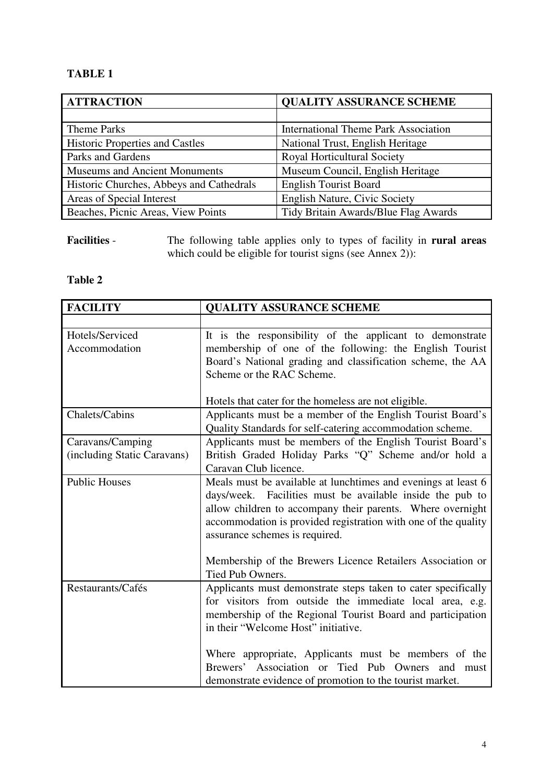# **TABLE 1**

| <b>ATTRACTION</b>                        | <b>QUALITY ASSURANCE SCHEME</b>             |
|------------------------------------------|---------------------------------------------|
|                                          |                                             |
| <b>Theme Parks</b>                       | <b>International Theme Park Association</b> |
| <b>Historic Properties and Castles</b>   | National Trust, English Heritage            |
| Parks and Gardens                        | <b>Royal Horticultural Society</b>          |
| <b>Museums and Ancient Monuments</b>     | Museum Council, English Heritage            |
| Historic Churches, Abbeys and Cathedrals | <b>English Tourist Board</b>                |
| Areas of Special Interest                | <b>English Nature, Civic Society</b>        |
| Beaches, Picnic Areas, View Points       | Tidy Britain Awards/Blue Flag Awards        |

**Facilities** - The following table applies only to types of facility in **rural areas** which could be eligible for tourist signs (see Annex 2)):

# **Table 2**

| <b>FACILITY</b>             | <b>QUALITY ASSURANCE SCHEME</b>                                                                             |
|-----------------------------|-------------------------------------------------------------------------------------------------------------|
|                             |                                                                                                             |
| Hotels/Serviced             | It is the responsibility of the applicant to demonstrate                                                    |
| Accommodation               | membership of one of the following: the English Tourist                                                     |
|                             | Board's National grading and classification scheme, the AA                                                  |
|                             | Scheme or the RAC Scheme.                                                                                   |
|                             |                                                                                                             |
|                             | Hotels that cater for the homeless are not eligible.                                                        |
| Chalets/Cabins              | Applicants must be a member of the English Tourist Board's                                                  |
|                             | Quality Standards for self-catering accommodation scheme.                                                   |
| Caravans/Camping            | Applicants must be members of the English Tourist Board's                                                   |
| (including Static Caravans) | British Graded Holiday Parks "Q" Scheme and/or hold a                                                       |
|                             | Caravan Club licence.                                                                                       |
| <b>Public Houses</b>        | Meals must be available at lunchtimes and evenings at least 6                                               |
|                             | days/week. Facilities must be available inside the pub to                                                   |
|                             | allow children to accompany their parents. Where overnight                                                  |
|                             | accommodation is provided registration with one of the quality                                              |
|                             | assurance schemes is required.                                                                              |
|                             |                                                                                                             |
|                             | Membership of the Brewers Licence Retailers Association or                                                  |
|                             | Tied Pub Owners.                                                                                            |
| Restaurants/Cafés           | Applicants must demonstrate steps taken to cater specifically                                               |
|                             | for visitors from outside the immediate local area, e.g.                                                    |
|                             | membership of the Regional Tourist Board and participation                                                  |
|                             | in their "Welcome Host" initiative.                                                                         |
|                             |                                                                                                             |
|                             | Where appropriate, Applicants must be members of the<br>Brewers' Association or Tied Pub Owners<br>and must |
|                             |                                                                                                             |
|                             | demonstrate evidence of promotion to the tourist market.                                                    |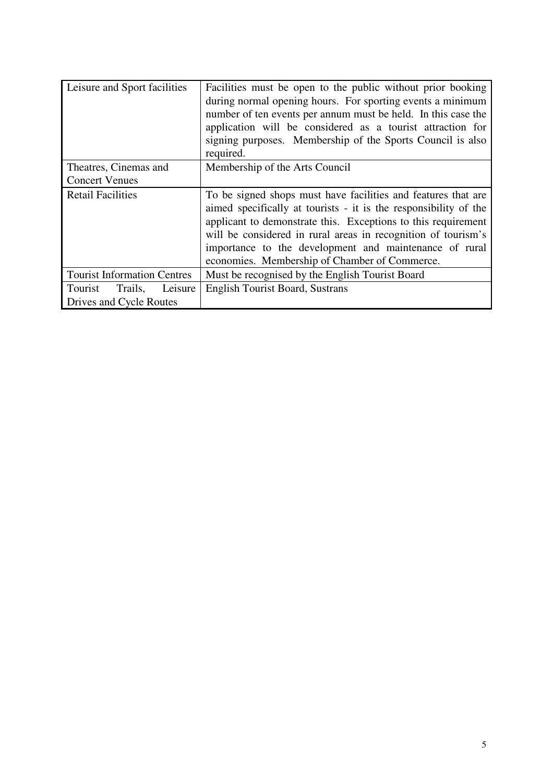| Leisure and Sport facilities       | Facilities must be open to the public without prior booking<br>during normal opening hours. For sporting events a minimum<br>number of ten events per annum must be held. In this case the<br>application will be considered as a tourist attraction for<br>signing purposes. Membership of the Sports Council is also<br>required.                                            |  |
|------------------------------------|--------------------------------------------------------------------------------------------------------------------------------------------------------------------------------------------------------------------------------------------------------------------------------------------------------------------------------------------------------------------------------|--|
| Theatres, Cinemas and              | Membership of the Arts Council                                                                                                                                                                                                                                                                                                                                                 |  |
| <b>Concert Venues</b>              |                                                                                                                                                                                                                                                                                                                                                                                |  |
| <b>Retail Facilities</b>           | To be signed shops must have facilities and features that are<br>aimed specifically at tourists - it is the responsibility of the<br>applicant to demonstrate this. Exceptions to this requirement<br>will be considered in rural areas in recognition of tourism's<br>importance to the development and maintenance of rural<br>economies. Membership of Chamber of Commerce. |  |
| <b>Tourist Information Centres</b> | Must be recognised by the English Tourist Board                                                                                                                                                                                                                                                                                                                                |  |
| Tourist<br>Trails,<br>Leisure      | <b>English Tourist Board, Sustrans</b>                                                                                                                                                                                                                                                                                                                                         |  |
| Drives and Cycle Routes            |                                                                                                                                                                                                                                                                                                                                                                                |  |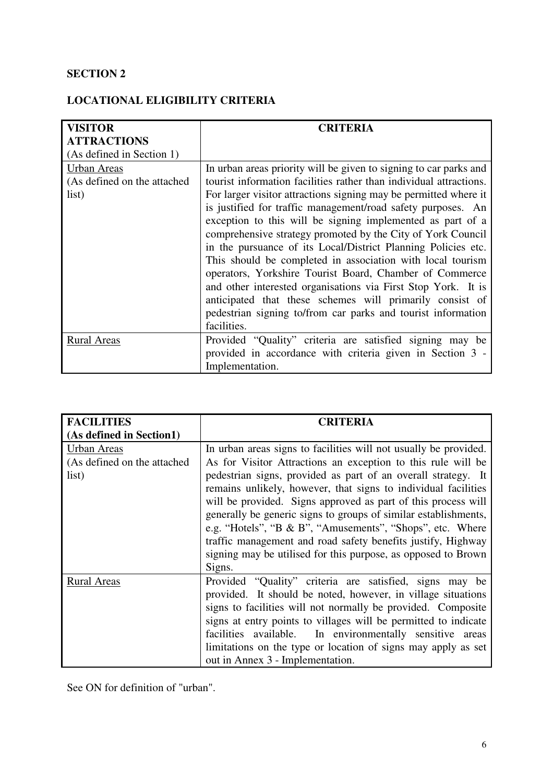# **LOCATIONAL ELIGIBILITY CRITERIA**

| <b>VISITOR</b>                                      | <b>CRITERIA</b>                                                                                                                                                                                                                                                                                                                                                                                                                                                                                                                                                                                                                                                                                                                                                                                 |
|-----------------------------------------------------|-------------------------------------------------------------------------------------------------------------------------------------------------------------------------------------------------------------------------------------------------------------------------------------------------------------------------------------------------------------------------------------------------------------------------------------------------------------------------------------------------------------------------------------------------------------------------------------------------------------------------------------------------------------------------------------------------------------------------------------------------------------------------------------------------|
| <b>ATTRACTIONS</b>                                  |                                                                                                                                                                                                                                                                                                                                                                                                                                                                                                                                                                                                                                                                                                                                                                                                 |
| (As defined in Section 1)                           |                                                                                                                                                                                                                                                                                                                                                                                                                                                                                                                                                                                                                                                                                                                                                                                                 |
| Urban Areas<br>(As defined on the attached<br>list) | In urban areas priority will be given to signing to car parks and<br>tourist information facilities rather than individual attractions.<br>For larger visitor attractions signing may be permitted where it<br>is justified for traffic management/road safety purposes. An<br>exception to this will be signing implemented as part of a<br>comprehensive strategy promoted by the City of York Council<br>in the pursuance of its Local/District Planning Policies etc.<br>This should be completed in association with local tourism<br>operators, Yorkshire Tourist Board, Chamber of Commerce<br>and other interested organisations via First Stop York. It is<br>anticipated that these schemes will primarily consist of<br>pedestrian signing to/from car parks and tourist information |
|                                                     | facilities.                                                                                                                                                                                                                                                                                                                                                                                                                                                                                                                                                                                                                                                                                                                                                                                     |
| <b>Rural Areas</b>                                  | Provided "Quality" criteria are satisfied signing may be                                                                                                                                                                                                                                                                                                                                                                                                                                                                                                                                                                                                                                                                                                                                        |
|                                                     | provided in accordance with criteria given in Section 3 -                                                                                                                                                                                                                                                                                                                                                                                                                                                                                                                                                                                                                                                                                                                                       |
|                                                     | Implementation.                                                                                                                                                                                                                                                                                                                                                                                                                                                                                                                                                                                                                                                                                                                                                                                 |

| <b>FACILITIES</b>           | <b>CRITERIA</b>                                                                                                                                                                                                                                                                                                                                                                                                                                                             |  |
|-----------------------------|-----------------------------------------------------------------------------------------------------------------------------------------------------------------------------------------------------------------------------------------------------------------------------------------------------------------------------------------------------------------------------------------------------------------------------------------------------------------------------|--|
| (As defined in Section1)    |                                                                                                                                                                                                                                                                                                                                                                                                                                                                             |  |
| Urban Areas                 | In urban areas signs to facilities will not usually be provided.                                                                                                                                                                                                                                                                                                                                                                                                            |  |
| (As defined on the attached | As for Visitor Attractions an exception to this rule will be                                                                                                                                                                                                                                                                                                                                                                                                                |  |
| list)                       | pedestrian signs, provided as part of an overall strategy. It<br>remains unlikely, however, that signs to individual facilities<br>will be provided. Signs approved as part of this process will<br>generally be generic signs to groups of similar establishments,<br>e.g. "Hotels", "B & B", "Amusements", "Shops", etc. Where<br>traffic management and road safety benefits justify, Highway<br>signing may be utilised for this purpose, as opposed to Brown<br>Signs. |  |
| <b>Rural Areas</b>          | Provided "Quality" criteria are satisfied, signs may be<br>provided. It should be noted, however, in village situations<br>signs to facilities will not normally be provided. Composite<br>signs at entry points to villages will be permitted to indicate<br>facilities available. In environmentally sensitive areas<br>limitations on the type or location of signs may apply as set<br>out in Annex 3 - Implementation.                                                 |  |

See ON for definition of "urban".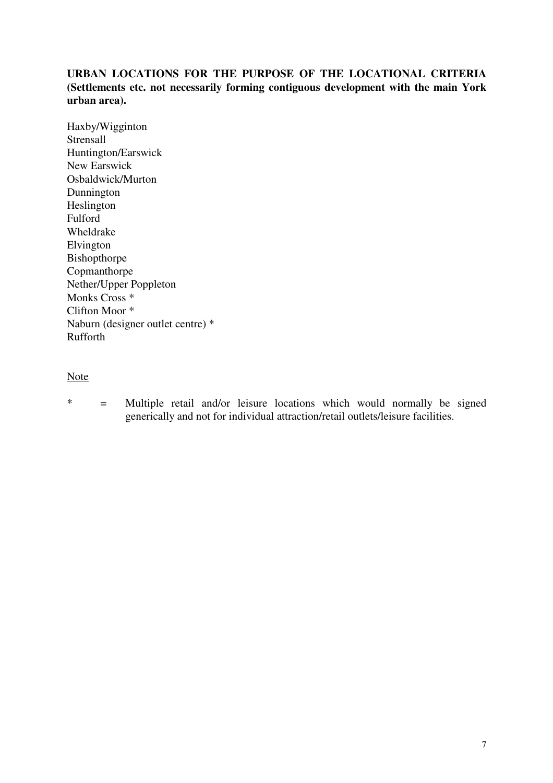# **URBAN LOCATIONS FOR THE PURPOSE OF THE LOCATIONAL CRITERIA (Settlements etc. not necessarily forming contiguous development with the main York urban area).**

Haxby/Wigginton Strensall Huntington/Earswick New Earswick Osbaldwick/Murton Dunnington Heslington Fulford Wheldrake Elvington Bishopthorpe Copmanthorpe Nether/Upper Poppleton Monks Cross \* Clifton Moor \* Naburn (designer outlet centre) \* Rufforth

# Note

\* = Multiple retail and/or leisure locations which would normally be signed generically and not for individual attraction/retail outlets/leisure facilities.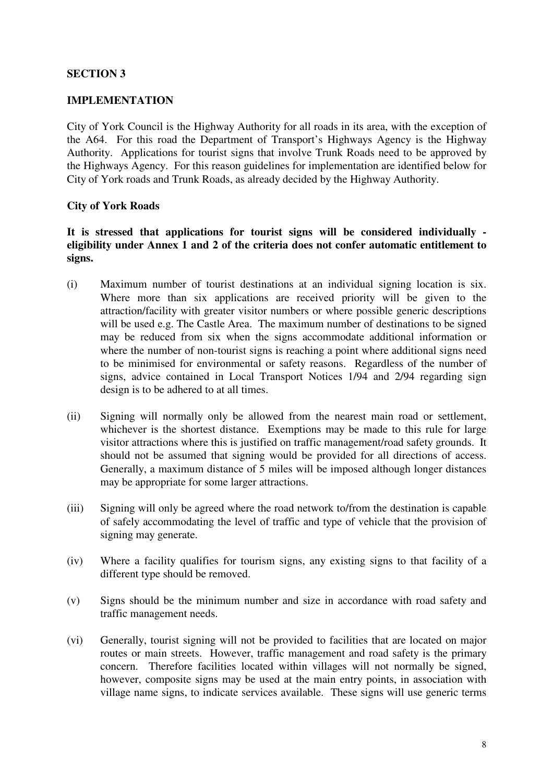#### **IMPLEMENTATION**

City of York Council is the Highway Authority for all roads in its area, with the exception of the A64. For this road the Department of Transport's Highways Agency is the Highway Authority. Applications for tourist signs that involve Trunk Roads need to be approved by the Highways Agency. For this reason guidelines for implementation are identified below for City of York roads and Trunk Roads, as already decided by the Highway Authority.

#### **City of York Roads**

## **It is stressed that applications for tourist signs will be considered individually eligibility under Annex 1 and 2 of the criteria does not confer automatic entitlement to signs.**

- (i) Maximum number of tourist destinations at an individual signing location is six. Where more than six applications are received priority will be given to the attraction/facility with greater visitor numbers or where possible generic descriptions will be used e.g. The Castle Area. The maximum number of destinations to be signed may be reduced from six when the signs accommodate additional information or where the number of non-tourist signs is reaching a point where additional signs need to be minimised for environmental or safety reasons. Regardless of the number of signs, advice contained in Local Transport Notices 1/94 and 2/94 regarding sign design is to be adhered to at all times.
- (ii) Signing will normally only be allowed from the nearest main road or settlement, whichever is the shortest distance. Exemptions may be made to this rule for large visitor attractions where this is justified on traffic management/road safety grounds. It should not be assumed that signing would be provided for all directions of access. Generally, a maximum distance of 5 miles will be imposed although longer distances may be appropriate for some larger attractions.
- (iii) Signing will only be agreed where the road network to/from the destination is capable of safely accommodating the level of traffic and type of vehicle that the provision of signing may generate.
- (iv) Where a facility qualifies for tourism signs, any existing signs to that facility of a different type should be removed.
- (v) Signs should be the minimum number and size in accordance with road safety and traffic management needs.
- (vi) Generally, tourist signing will not be provided to facilities that are located on major routes or main streets. However, traffic management and road safety is the primary concern. Therefore facilities located within villages will not normally be signed, however, composite signs may be used at the main entry points, in association with village name signs, to indicate services available. These signs will use generic terms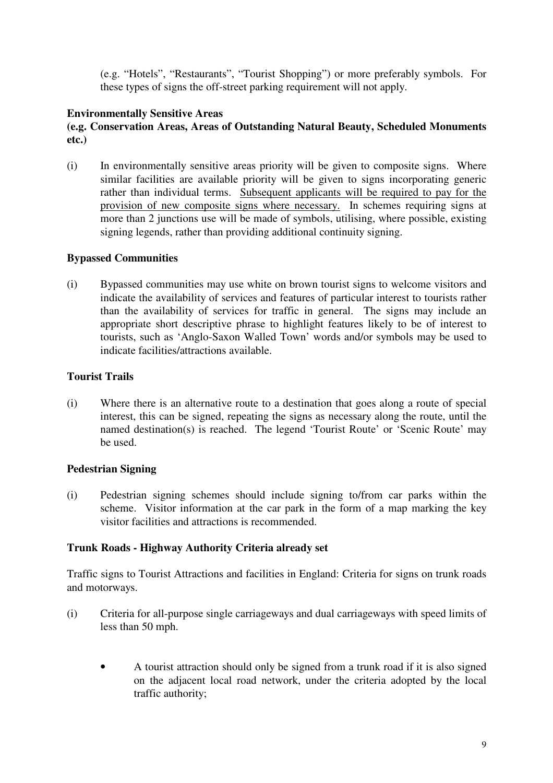(e.g. "Hotels", "Restaurants", "Tourist Shopping") or more preferably symbols. For these types of signs the off-street parking requirement will not apply.

# **Environmentally Sensitive Areas**

# **(e.g. Conservation Areas, Areas of Outstanding Natural Beauty, Scheduled Monuments etc.)**

(i) In environmentally sensitive areas priority will be given to composite signs. Where similar facilities are available priority will be given to signs incorporating generic rather than individual terms. Subsequent applicants will be required to pay for the provision of new composite signs where necessary. In schemes requiring signs at more than 2 junctions use will be made of symbols, utilising, where possible, existing signing legends, rather than providing additional continuity signing.

## **Bypassed Communities**

(i) Bypassed communities may use white on brown tourist signs to welcome visitors and indicate the availability of services and features of particular interest to tourists rather than the availability of services for traffic in general. The signs may include an appropriate short descriptive phrase to highlight features likely to be of interest to tourists, such as 'Anglo-Saxon Walled Town' words and/or symbols may be used to indicate facilities/attractions available.

#### **Tourist Trails**

(i) Where there is an alternative route to a destination that goes along a route of special interest, this can be signed, repeating the signs as necessary along the route, until the named destination(s) is reached. The legend 'Tourist Route' or 'Scenic Route' may be used.

## **Pedestrian Signing**

(i) Pedestrian signing schemes should include signing to/from car parks within the scheme. Visitor information at the car park in the form of a map marking the key visitor facilities and attractions is recommended.

## **Trunk Roads - Highway Authority Criteria already set**

Traffic signs to Tourist Attractions and facilities in England: Criteria for signs on trunk roads and motorways.

- (i) Criteria for all-purpose single carriageways and dual carriageways with speed limits of less than 50 mph.
	- A tourist attraction should only be signed from a trunk road if it is also signed on the adjacent local road network, under the criteria adopted by the local traffic authority;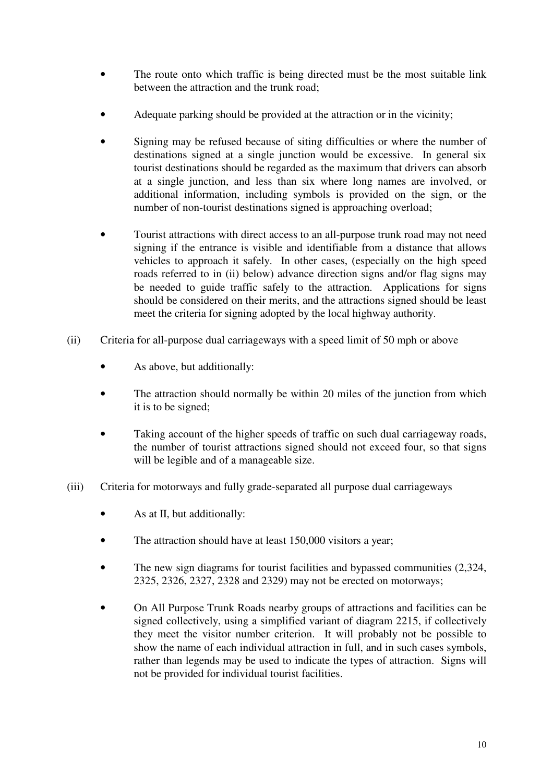- The route onto which traffic is being directed must be the most suitable link between the attraction and the trunk road;
- Adequate parking should be provided at the attraction or in the vicinity;
- Signing may be refused because of siting difficulties or where the number of destinations signed at a single junction would be excessive. In general six tourist destinations should be regarded as the maximum that drivers can absorb at a single junction, and less than six where long names are involved, or additional information, including symbols is provided on the sign, or the number of non-tourist destinations signed is approaching overload;
- Tourist attractions with direct access to an all-purpose trunk road may not need signing if the entrance is visible and identifiable from a distance that allows vehicles to approach it safely. In other cases, (especially on the high speed roads referred to in (ii) below) advance direction signs and/or flag signs may be needed to guide traffic safely to the attraction. Applications for signs should be considered on their merits, and the attractions signed should be least meet the criteria for signing adopted by the local highway authority.
- (ii) Criteria for all-purpose dual carriageways with a speed limit of 50 mph or above
	- As above, but additionally:
	- The attraction should normally be within 20 miles of the junction from which it is to be signed;
	- Taking account of the higher speeds of traffic on such dual carriageway roads, the number of tourist attractions signed should not exceed four, so that signs will be legible and of a manageable size.
- (iii) Criteria for motorways and fully grade-separated all purpose dual carriageways
	- As at II, but additionally:
	- The attraction should have at least 150,000 visitors a year;
	- The new sign diagrams for tourist facilities and bypassed communities  $(2.324, ...)$ 2325, 2326, 2327, 2328 and 2329) may not be erected on motorways;
	- On All Purpose Trunk Roads nearby groups of attractions and facilities can be signed collectively, using a simplified variant of diagram 2215, if collectively they meet the visitor number criterion. It will probably not be possible to show the name of each individual attraction in full, and in such cases symbols, rather than legends may be used to indicate the types of attraction. Signs will not be provided for individual tourist facilities.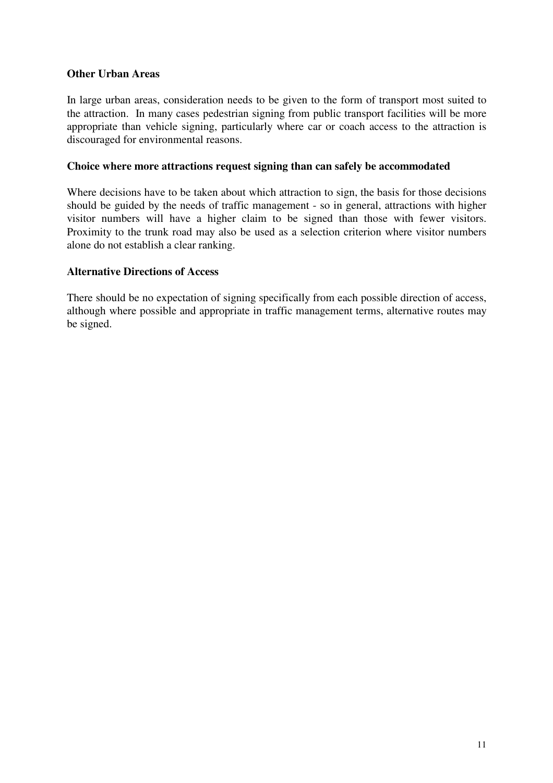### **Other Urban Areas**

In large urban areas, consideration needs to be given to the form of transport most suited to the attraction. In many cases pedestrian signing from public transport facilities will be more appropriate than vehicle signing, particularly where car or coach access to the attraction is discouraged for environmental reasons.

#### **Choice where more attractions request signing than can safely be accommodated**

Where decisions have to be taken about which attraction to sign, the basis for those decisions should be guided by the needs of traffic management - so in general, attractions with higher visitor numbers will have a higher claim to be signed than those with fewer visitors. Proximity to the trunk road may also be used as a selection criterion where visitor numbers alone do not establish a clear ranking.

#### **Alternative Directions of Access**

There should be no expectation of signing specifically from each possible direction of access, although where possible and appropriate in traffic management terms, alternative routes may be signed.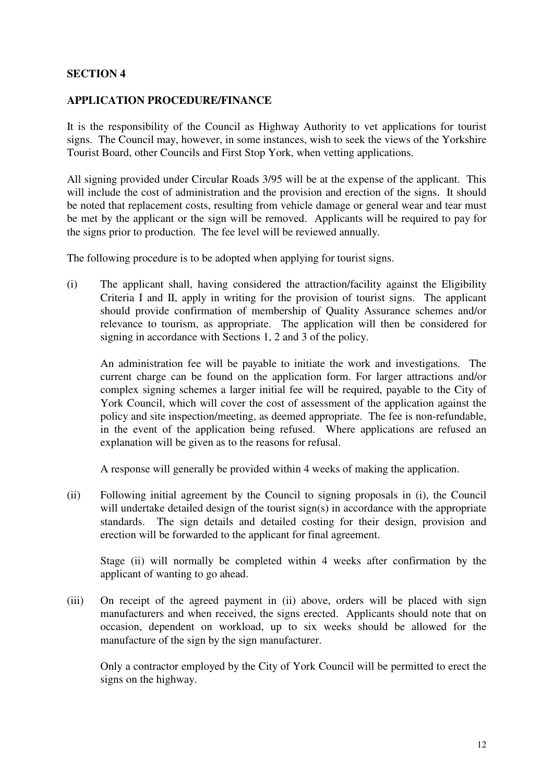#### **APPLICATION PROCEDURE/FINANCE**

It is the responsibility of the Council as Highway Authority to vet applications for tourist signs. The Council may, however, in some instances, wish to seek the views of the Yorkshire Tourist Board, other Councils and First Stop York, when vetting applications.

All signing provided under Circular Roads 3/95 will be at the expense of the applicant. This will include the cost of administration and the provision and erection of the signs. It should be noted that replacement costs, resulting from vehicle damage or general wear and tear must be met by the applicant or the sign will be removed. Applicants will be required to pay for the signs prior to production. The fee level will be reviewed annually.

The following procedure is to be adopted when applying for tourist signs.

(i) The applicant shall, having considered the attraction/facility against the Eligibility Criteria I and II, apply in writing for the provision of tourist signs. The applicant should provide confirmation of membership of Quality Assurance schemes and/or relevance to tourism, as appropriate. The application will then be considered for signing in accordance with Sections 1, 2 and 3 of the policy.

 An administration fee will be payable to initiate the work and investigations. The current charge can be found on the application form. For larger attractions and/or complex signing schemes a larger initial fee will be required, payable to the City of York Council, which will cover the cost of assessment of the application against the policy and site inspection/meeting, as deemed appropriate. The fee is non-refundable, in the event of the application being refused. Where applications are refused an explanation will be given as to the reasons for refusal.

A response will generally be provided within 4 weeks of making the application.

(ii) Following initial agreement by the Council to signing proposals in (i), the Council will undertake detailed design of the tourist sign(s) in accordance with the appropriate standards. The sign details and detailed costing for their design, provision and erection will be forwarded to the applicant for final agreement.

 Stage (ii) will normally be completed within 4 weeks after confirmation by the applicant of wanting to go ahead.

(iii) On receipt of the agreed payment in (ii) above, orders will be placed with sign manufacturers and when received, the signs erected. Applicants should note that on occasion, dependent on workload, up to six weeks should be allowed for the manufacture of the sign by the sign manufacturer.

 Only a contractor employed by the City of York Council will be permitted to erect the signs on the highway.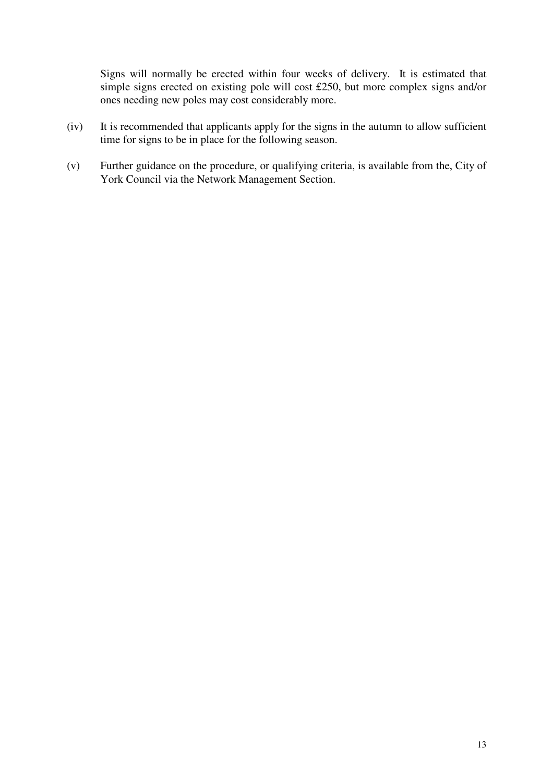Signs will normally be erected within four weeks of delivery. It is estimated that simple signs erected on existing pole will cost £250, but more complex signs and/or ones needing new poles may cost considerably more.

- (iv) It is recommended that applicants apply for the signs in the autumn to allow sufficient time for signs to be in place for the following season.
- (v) Further guidance on the procedure, or qualifying criteria, is available from the, City of York Council via the Network Management Section.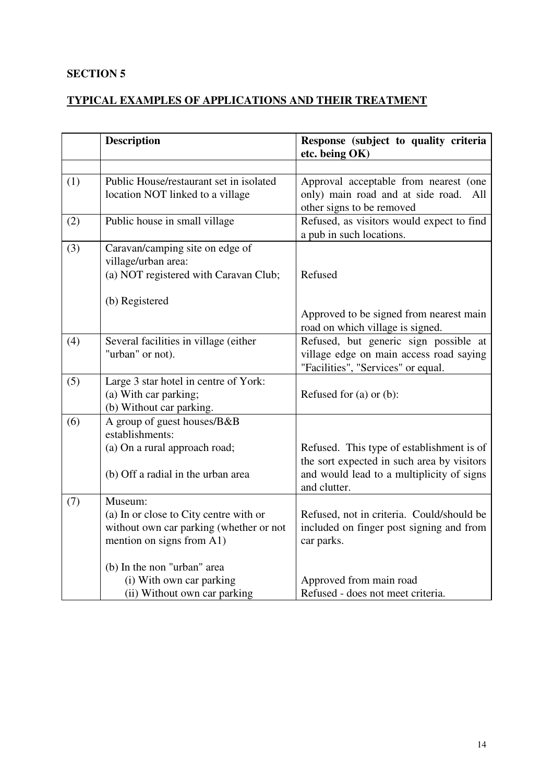# **TYPICAL EXAMPLES OF APPLICATIONS AND THEIR TREATMENT**

|     | <b>Description</b>                                                                                             | Response (subject to quality criteria<br>etc. being OK)                                                                                              |
|-----|----------------------------------------------------------------------------------------------------------------|------------------------------------------------------------------------------------------------------------------------------------------------------|
|     |                                                                                                                |                                                                                                                                                      |
| (1) | Public House/restaurant set in isolated<br>location NOT linked to a village                                    | Approval acceptable from nearest (one<br>only) main road and at side road. All<br>other signs to be removed                                          |
| (2) | Public house in small village                                                                                  | Refused, as visitors would expect to find<br>a pub in such locations.                                                                                |
| (3) | Caravan/camping site on edge of<br>village/urban area:<br>(a) NOT registered with Caravan Club;                | Refused                                                                                                                                              |
|     | (b) Registered                                                                                                 | Approved to be signed from nearest main<br>road on which village is signed.                                                                          |
| (4) | Several facilities in village (either<br>"urban" or not).                                                      | Refused, but generic sign possible at<br>village edge on main access road saying<br>"Facilities", "Services" or equal.                               |
| (5) | Large 3 star hotel in centre of York:<br>(a) With car parking;<br>(b) Without car parking.                     | Refused for $(a)$ or $(b)$ :                                                                                                                         |
| (6) | A group of guest houses/B&B<br>establishments:                                                                 |                                                                                                                                                      |
|     | (a) On a rural approach road;<br>(b) Off a radial in the urban area                                            | Refused. This type of establishment is of<br>the sort expected in such area by visitors<br>and would lead to a multiplicity of signs<br>and clutter. |
| (7) | Museum:                                                                                                        |                                                                                                                                                      |
|     | (a) In or close to City centre with or<br>without own car parking (whether or not<br>mention on signs from A1) | Refused, not in criteria. Could/should be<br>included on finger post signing and from<br>car parks.                                                  |
|     | (b) In the non "urban" area                                                                                    |                                                                                                                                                      |
|     | (i) With own car parking<br>(ii) Without own car parking                                                       | Approved from main road<br>Refused - does not meet criteria.                                                                                         |